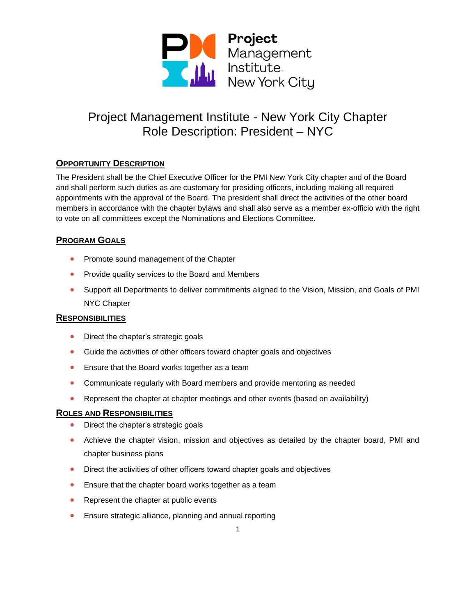

# **OPPORTUNITY DESCRIPTION**

The President shall be the Chief Executive Officer for the PMI New York City chapter and of the Board and shall perform such duties as are customary for presiding officers, including making all required appointments with the approval of the Board. The president shall direct the activities of the other board members in accordance with the chapter bylaws and shall also serve as a member ex-officio with the right to vote on all committees except the Nominations and Elections Committee.

## **PROGRAM GOALS**

- Promote sound management of the Chapter
- Provide quality services to the Board and Members
- Support all Departments to deliver commitments aligned to the Vision, Mission, and Goals of PMI NYC Chapter

### **RESPONSIBILITIES**

- Direct the chapter's strategic goals
- Guide the activities of other officers toward chapter goals and objectives
- Ensure that the Board works together as a team
- Communicate regularly with Board members and provide mentoring as needed
- Represent the chapter at chapter meetings and other events (based on availability)

### **ROLES AND RESPONSIBILITIES**

- Direct the chapter's strategic goals
- Achieve the chapter vision, mission and objectives as detailed by the chapter board, PMI and chapter business plans
- Direct the activities of other officers toward chapter goals and objectives
- Ensure that the chapter board works together as a team
- Represent the chapter at public events
- Ensure strategic alliance, planning and annual reporting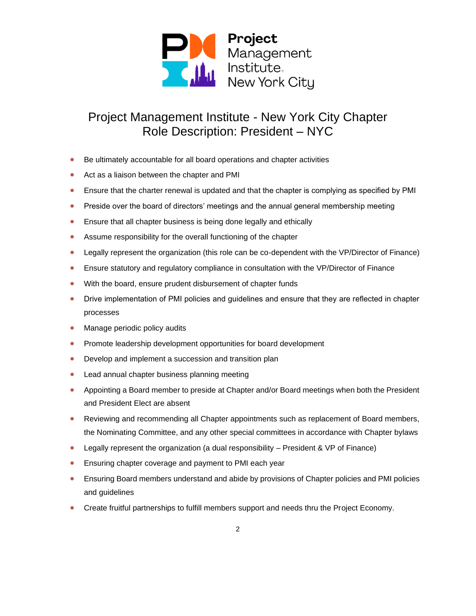

- Be ultimately accountable for all board operations and chapter activities
- Act as a liaison between the chapter and PMI
- Ensure that the charter renewal is updated and that the chapter is complying as specified by PMI
- Preside over the board of directors' meetings and the annual general membership meeting
- Ensure that all chapter business is being done legally and ethically
- Assume responsibility for the overall functioning of the chapter
- Legally represent the organization (this role can be co-dependent with the VP/Director of Finance)
- Ensure statutory and regulatory compliance in consultation with the VP/Director of Finance
- With the board, ensure prudent disbursement of chapter funds
- Drive implementation of PMI policies and guidelines and ensure that they are reflected in chapter processes
- Manage periodic policy audits
- Promote leadership development opportunities for board development
- Develop and implement a succession and transition plan
- Lead annual chapter business planning meeting
- Appointing a Board member to preside at Chapter and/or Board meetings when both the President and President Elect are absent
- Reviewing and recommending all Chapter appointments such as replacement of Board members, the Nominating Committee, and any other special committees in accordance with Chapter bylaws
- Legally represent the organization (a dual responsibility President & VP of Finance)
- Ensuring chapter coverage and payment to PMI each year
- Ensuring Board members understand and abide by provisions of Chapter policies and PMI policies and guidelines
- Create fruitful partnerships to fulfill members support and needs thru the Project Economy.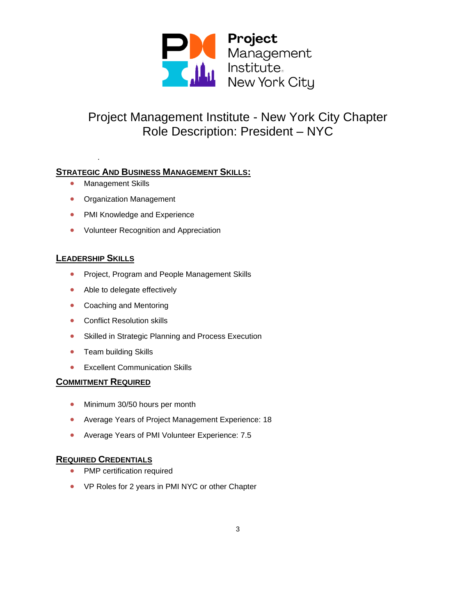

# **STRATEGIC AND BUSINESS MANAGEMENT SKILLS:**

• Management Skills

*.*

- Organization Management
- PMI Knowledge and Experience
- Volunteer Recognition and Appreciation

## **LEADERSHIP SKILLS**

- Project, Program and People Management Skills
- Able to delegate effectively
- Coaching and Mentoring
- Conflict Resolution skills
- Skilled in Strategic Planning and Process Execution
- Team building Skills
- Excellent Communication Skills

## **COMMITMENT REQUIRED**

- Minimum 30/50 hours per month
- Average Years of Project Management Experience: 18
- Average Years of PMI Volunteer Experience: 7.5

## **REQUIRED CREDENTIALS**

- PMP certification required
- VP Roles for 2 years in PMI NYC or other Chapter